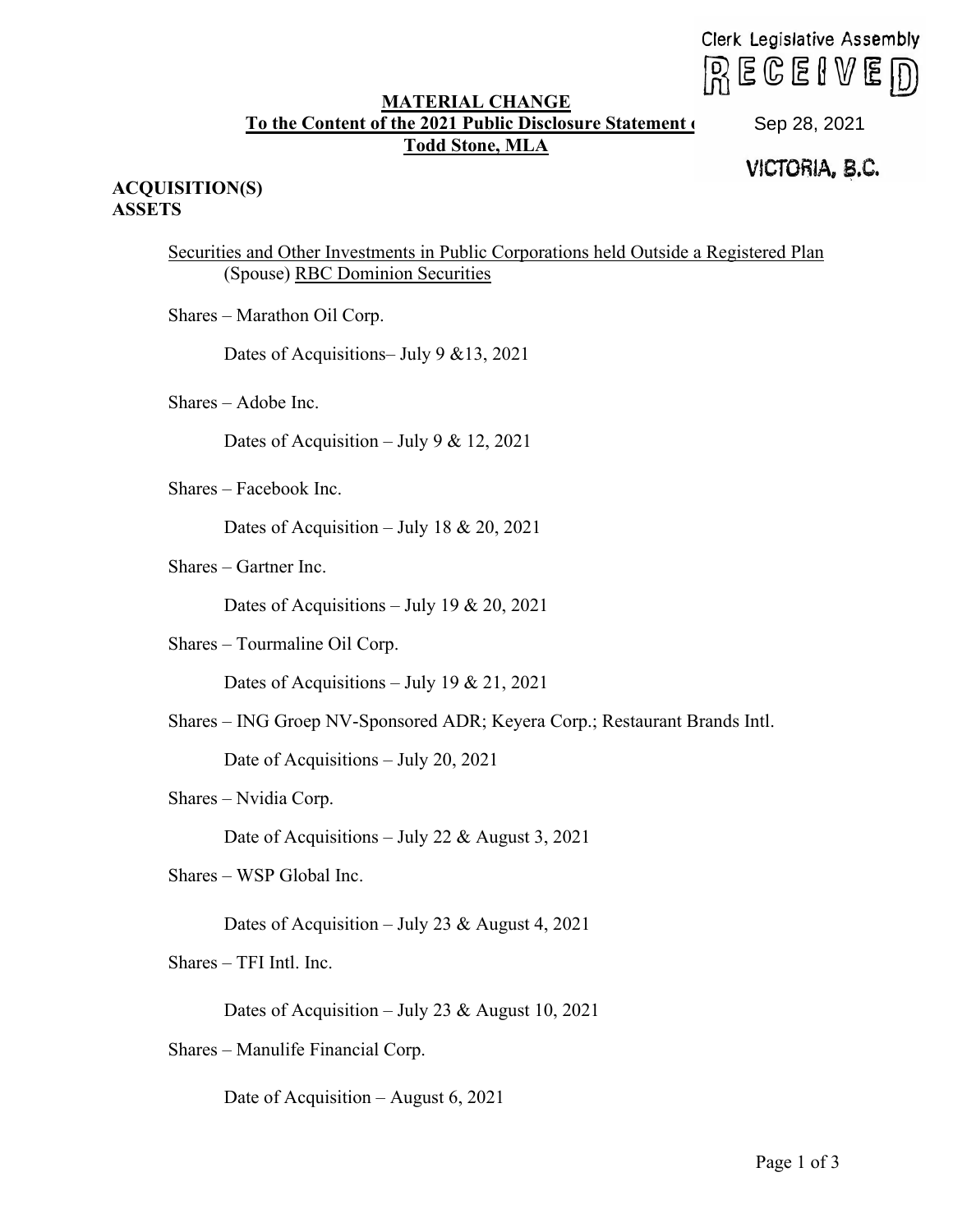$R \in \mathbb{C}$ eive $D$ 

## **MATERIAL CHANGE To the Content of the 2021 Public Disclosure Statement of Todd Stone, MLA**

Sep 28, 2021<br>**VICTORIA, B.C.** 

## **ACQUISITION(S) ASSETS**

Securities and Other Investments in Public Corporations held Outside a Registered Plan (Spouse) RBC Dominion Securities Clerk Legislative According Clerk Legislative According Clerk Legislative According Clerk Clerk Clerk Legislative September 10. September 2021 VICTORIA, B.C.<br>
September Investments in Public Corporations held Outside a Re

Shares – Marathon Oil Corp.

Dates of Acquisitions– July 9 &13, 2021

Shares – Adobe Inc.

Dates of Acquisition – July 9 & 12, 2021

Shares – Facebook Inc.

Dates of Acquisition – July 18 & 20, 2021

Shares – Gartner Inc.

Dates of Acquisitions – July 19 & 20, 2021

Shares – Tourmaline Oil Corp.

Dates of Acquisitions – July 19 & 21, 2021

Shares – ING Groep NV-Sponsored ADR; Keyera Corp.; Restaurant Brands Intl.

Date of Acquisitions – July 20, 2021

Shares – Nvidia Corp.

Date of Acquisitions – July 22 & August 3, 2021

Shares – WSP Global Inc.

Dates of Acquisition – July 23 & August 4, 2021

Shares – TFI Intl. Inc.

Dates of Acquisition – July 23 & August 10, 2021

Shares – Manulife Financial Corp.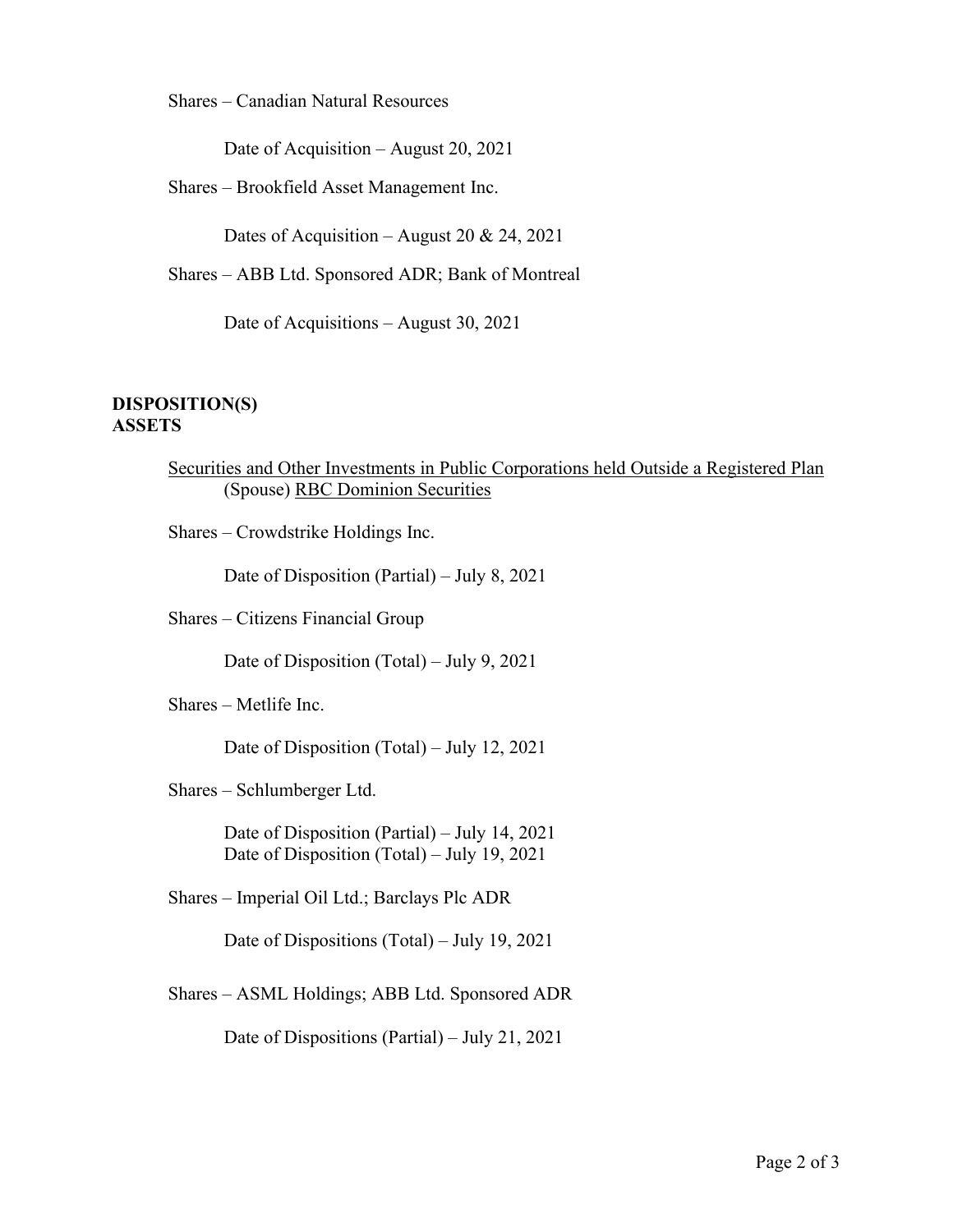Shares – Canadian Natural Resources

Date of Acquisition – August 20, 2021

Shares – Brookfield Asset Management Inc.

Dates of Acquisition – August 20 & 24, 2021

Shares – ABB Ltd. Sponsored ADR; Bank of Montreal

Date of Acquisitions – August 30, 2021

## **DISPOSITION(S) ASSETS**

| Securities and Other Investments in Public Corporations held Outside a Registered Plan |  |  |
|----------------------------------------------------------------------------------------|--|--|
| (Spouse) RBC Dominion Securities                                                       |  |  |

Shares – Crowdstrike Holdings Inc.

Date of Disposition (Partial) – July 8, 2021

Shares – Citizens Financial Group

Date of Disposition (Total) – July 9, 2021

Shares – Metlife Inc.

Date of Disposition (Total) – July 12, 2021

Shares – Schlumberger Ltd.

Date of Disposition (Partial) – July 14, 2021 Date of Disposition (Total) – July 19, 2021

Shares – Imperial Oil Ltd.; Barclays Plc ADR

Date of Dispositions (Total) – July 19, 2021

Shares – ASML Holdings; ABB Ltd. Sponsored ADR

Date of Dispositions (Partial) – July 21, 2021